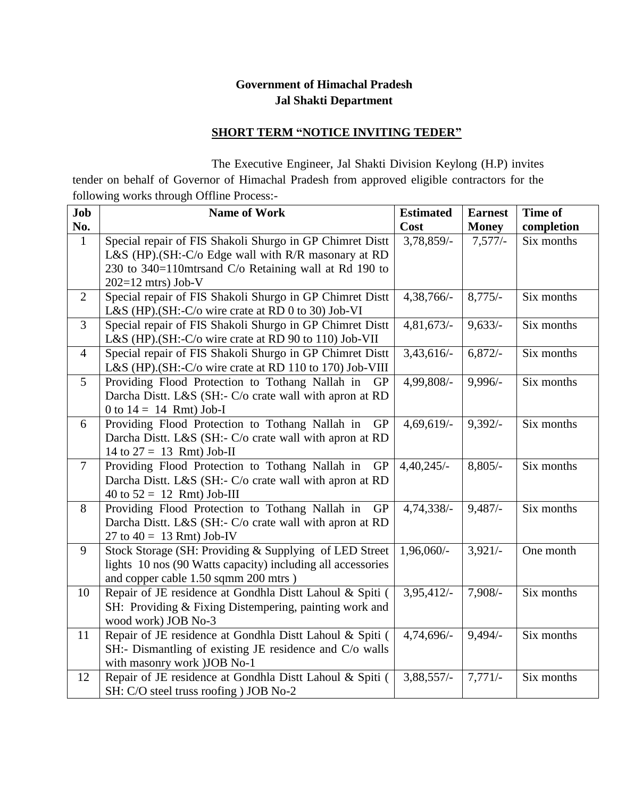## **Government of Himachal Pradesh Jal Shakti Department**

## **SHORT TERM "NOTICE INVITING TEDER"**

 The Executive Engineer, Jal Shakti Division Keylong (H.P) invites tender on behalf of Governor of Himachal Pradesh from approved eligible contractors for the following works through Offline Process:-

| Job            | <b>Name of Work</b>                                          | <b>Estimated</b> | <b>Earnest</b> | Time of    |
|----------------|--------------------------------------------------------------|------------------|----------------|------------|
| No.            |                                                              | Cost             | <b>Money</b>   | completion |
| $\mathbf{1}$   | Special repair of FIS Shakoli Shurgo in GP Chimret Distt     | 3,78,859/-       | $7,577/-$      | Six months |
|                | L&S (HP).(SH:-C/o Edge wall with R/R masonary at RD          |                  |                |            |
|                | 230 to 340=110mtrsand C/o Retaining wall at Rd 190 to        |                  |                |            |
|                | $202=12$ mtrs) Job-V                                         |                  |                |            |
| $\overline{2}$ | Special repair of FIS Shakoli Shurgo in GP Chimret Distt     | 4,38,766/-       | $8,775/-$      | Six months |
|                | L&S (HP).(SH:-C/o wire crate at RD 0 to 30) Job-VI           |                  |                |            |
| 3              | Special repair of FIS Shakoli Shurgo in GP Chimret Distt     | $4,81,673/-$     | $9,633/-$      | Six months |
|                | L&S (HP).(SH:-C/o wire crate at RD 90 to 110) Job-VII        |                  |                |            |
| $\overline{4}$ | Special repair of FIS Shakoli Shurgo in GP Chimret Distt     | 3,43,616/        | $6,872/-$      | Six months |
|                | L&S (HP).(SH:-C/o wire crate at RD 110 to 170) Job-VIII      |                  |                |            |
| 5              | Providing Flood Protection to Tothang Nallah in<br>GP        | 4,99,808/-       | 9,996/-        | Six months |
|                | Darcha Distt. L&S (SH:- C/o crate wall with apron at RD      |                  |                |            |
|                | 0 to $14 = 14$ Rmt) Job-I                                    |                  |                |            |
| 6              | Providing Flood Protection to Tothang Nallah in<br><b>GP</b> | 4,69,619/-       | $9,392/-$      | Six months |
|                | Darcha Distt. L&S (SH:- C/o crate wall with apron at RD      |                  |                |            |
|                | 14 to $27 = 13$ Rmt) Job-II                                  |                  |                |            |
| $\overline{7}$ | Providing Flood Protection to Tothang Nallah in<br><b>GP</b> | $4,40,245/-$     | $8,805/-$      | Six months |
|                | Darcha Distt. L&S (SH:- C/o crate wall with apron at RD      |                  |                |            |
|                | 40 to $52 = 12$ Rmt) Job-III                                 |                  |                |            |
| 8              | Providing Flood Protection to Tothang Nallah in<br>GP        | 4,74,338/-       | 9,487/         | Six months |
|                | Darcha Distt. L&S (SH:- C/o crate wall with apron at RD      |                  |                |            |
|                | 27 to $40 = 13$ Rmt) Job-IV                                  |                  |                |            |
| 9              | Stock Storage (SH: Providing & Supplying of LED Street)      | 1,96,060/-       | $3,921/-$      | One month  |
|                | lights 10 nos (90 Watts capacity) including all accessories  |                  |                |            |
|                | and copper cable 1.50 sqmm 200 mtrs)                         |                  |                |            |
| 10             | Repair of JE residence at Gondhla Distt Lahoul & Spiti (     | 3,95,412/-       | $7,908/-$      | Six months |
|                | SH: Providing & Fixing Distempering, painting work and       |                  |                |            |
|                | wood work) JOB No-3                                          |                  |                |            |
| 11             | Repair of JE residence at Gondhla Distt Lahoul & Spiti (     | 4,74,696/-       | $9,494/-$      | Six months |
|                | SH:- Dismantling of existing JE residence and C/o walls      |                  |                |            |
|                | with masonry work )JOB No-1                                  |                  |                |            |
| 12             | Repair of JE residence at Gondhla Distt Lahoul & Spiti (     | 3,88,557/-       | $7,771/-$      | Six months |
|                | SH: C/O steel truss roofing ) JOB No-2                       |                  |                |            |